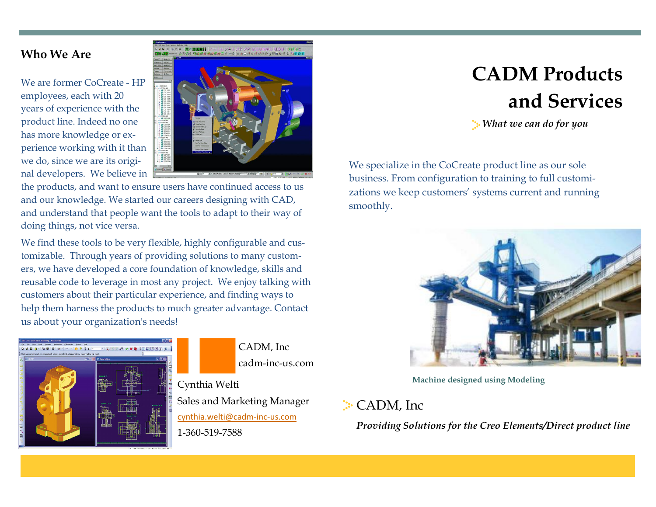## Who We Are

We are former CoCreate - HP employees, each with 20 years of experience with the product line. Indeed no one has more knowledge or experience working with it than we do, since we are its original developers. We believe in



the products, and want to ensure users have continued access to us and our knowledge. We started our careers designing with CAD, and understand that people want the tools to adapt to their way of doing things, not vice versa.

We find these tools to be very flexible, highly configurable and customizable. Through years of providing solutions to many customers, we have developed a core foundation of knowledge, skills and reusable code to leverage in most any project. We enjoy talking with customers about their particular experience, and finding ways to help them harness the products to much greater advantage. Contact us about your organization's needs!



CADM, Inc cadm-inc-us.com

Cynthia Welti Sales and Marketing Manager cynthia.welti@cadm-inc-us.com 1-360-519-7588

## CADM Products and Services

What we can do for you

We specialize in the CoCreate product line as our sole business. From configuration to training to full customizations we keep customers' systems current and running smoothly.



Machine designed using Modeling

## **CADM**, Inc

Providing Solutions for the Creo Elements/Direct product line